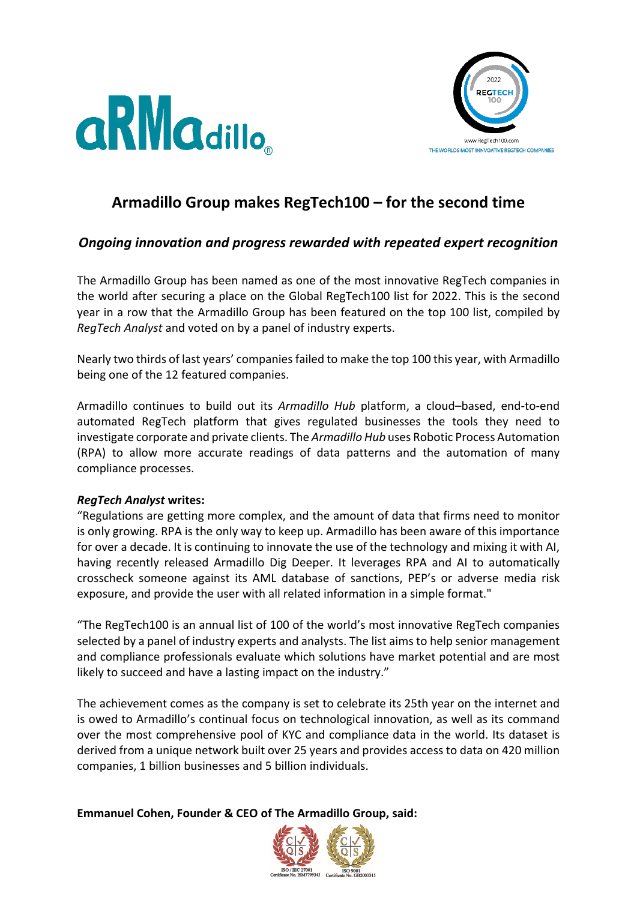



# **Armadillo Group makes RegTech100 – for the second time**

## *Ongoing innovation and progress rewarded with repeated expert recognition*

The Armadillo Group has been named as one of the most innovative RegTech companies in the world after securing a place on the Global RegTech100 list for 2022. This is the second year in a row that the Armadillo Group has been featured on the top 100 list, compiled by *RegTech Analyst* and voted on by a panel of industry experts.

Nearly two thirds of last years' companies failed to make the top 100 this year, with Armadillo being one of the 12 featured companies.

Armadillo continues to build out its *Armadillo Hub* platform, a cloud–based, end-to-end automated RegTech platform that gives regulated businesses the tools they need to investigate corporate and private clients. The *Armadillo Hub* uses Robotic Process Automation (RPA) to allow more accurate readings of data patterns and the automation of many compliance processes.

## *RegTech Analyst* **writes:**

"Regulations are getting more complex, and the amount of data that firms need to monitor is only growing. RPA is the only way to keep up. Armadillo has been aware of this importance for over a decade. It is continuing to innovate the use of the technology and mixing it with AI, having recently released Armadillo Dig Deeper. It leverages RPA and AI to automatically crosscheck someone against its AML database of sanctions, PEP's or adverse media risk exposure, and provide the user with all related information in a simple format."

"The RegTech100 is an annual list of 100 of the world's most innovative RegTech companies selected by a panel of industry experts and analysts. The list aims to help senior management and compliance professionals evaluate which solutions have market potential and are most likely to succeed and have a lasting impact on the industry."

The achievement comes as the company is set to celebrate its 25th year on the internet and is owed to Armadillo's continual focus on technological innovation, as well as its command over the most comprehensive pool of KYC and compliance data in the world. Its dataset is derived from a unique network built over 25 years and provides access to data on 420 million companies, 1 billion businesses and 5 billion individuals.

**Emmanuel Cohen, Founder & CEO of The Armadillo Group, said:**

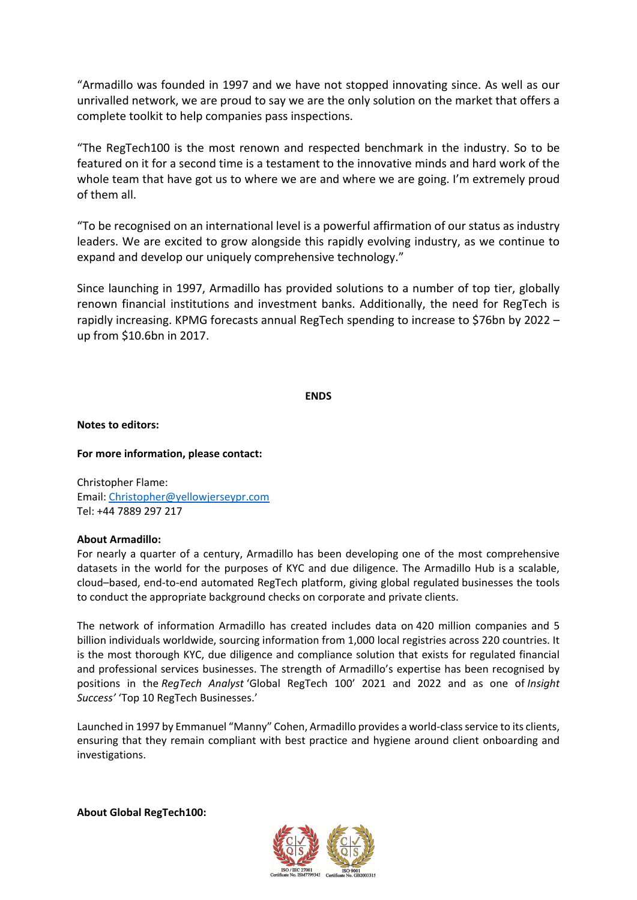"Armadillo was founded in 1997 and we have not stopped innovating since. As well as our unrivalled network, we are proud to say we are the only solution on the market that offers a complete toolkit to help companies pass inspections.

"The RegTech100 is the most renown and respected benchmark in the industry. So to be featured on it for a second time is a testament to the innovative minds and hard work of the whole team that have got us to where we are and where we are going. I'm extremely proud of them all.

"To be recognised on an international level is a powerful affirmation of our status as industry leaders. We are excited to grow alongside this rapidly evolving industry, as we continue to expand and develop our uniquely comprehensive technology."

Since launching in 1997, Armadillo has provided solutions to a number of top tier, globally renown financial institutions and investment banks. Additionally, the need for RegTech is rapidly increasing. KPMG forecasts annual RegTech spending to increase to \$76bn by 2022 – up from \$10.6bn in 2017.

#### **ENDS**

**Notes to editors:** 

**For more information, please contact:** 

Christopher Flame: Email: [Christopher@yellowjerseypr.com](mailto:Christopher@yellowjerseypr.com) Tel: +44 7889 297 217

### **About Armadillo:**

For nearly a quarter of a century, Armadillo has been developing one of the most comprehensive datasets in the world for the purposes of KYC and due diligence. The Armadillo Hub is a scalable, cloud–based, end-to-end automated RegTech platform, giving global regulated businesses the tools to conduct the appropriate background checks on corporate and private clients.

The network of information Armadillo has created includes data on 420 million companies and 5 billion individuals worldwide, sourcing information from 1,000 local registries across 220 countries. It is the most thorough KYC, due diligence and compliance solution that exists for regulated financial and professional services businesses. The strength of Armadillo's expertise has been recognised by positions in the *RegTech Analyst* 'Global RegTech 100' 2021 and 2022 and as one of *Insight Success'* 'Top 10 RegTech Businesses.'

Launched in 1997 by Emmanuel "Manny" Cohen, Armadillo provides a world-class service to its clients, ensuring that they remain compliant with best practice and hygiene around client onboarding and investigations.

**About Global RegTech100:**